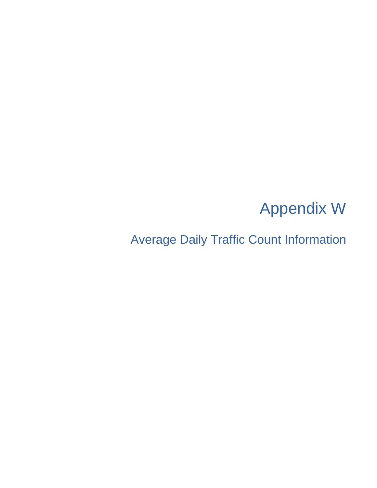# Appendix W

Average Daily Traffic Count Information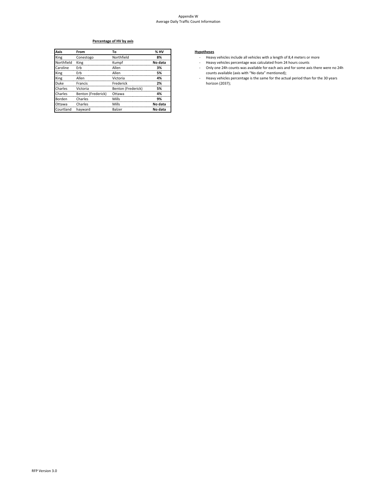#### Appendix W Average Daily Traffic Count Information

## **Percentage of HV by axis**

| <b>Axis</b> | From               | To                 | % HV    |
|-------------|--------------------|--------------------|---------|
| King        | Conestogo          | Northfield         | 8%      |
| Northfield  | King               | Kumpf              | No data |
| Caroline    | Erb                | Allen              | 3%      |
| King        | Erb                | Allen              | 5%      |
| King        | Allen              | Victoria           | 4%      |
| <b>Duke</b> | Francis            | Frederick          | 2%      |
| Charles     | Victoria           | Benton (Frederick) | 5%      |
| Charles     | Benton (Frederick) | Ottawa             | 4%      |
| Borden      | Charles            | Mills              | 9%      |
| Ottawa      | Charles            | Mills              | No data |
| Courtland   | havward            | Balzer             | No data |

### **Axis From To % HV Hypotheses**

- Heavy vehicles include all vehicles with a length of 8,4 meters or more
- Heavy vehicles percentage was calculated from 24 hours counts
- Only one 24h counts was available for each axis and for some axis there were no 24h ‐ counts available (axis with "No data" mentioned);
- Heavy vehicles percentage is the same for the actual period than for the 30 years horizon (2037); ‐